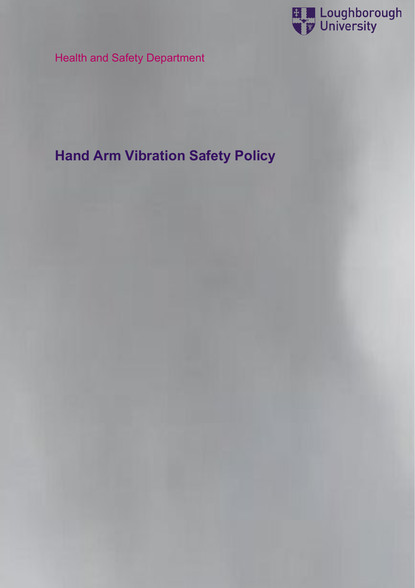

Health and Safety Department

# **Hand Arm Vibration Safety Policy**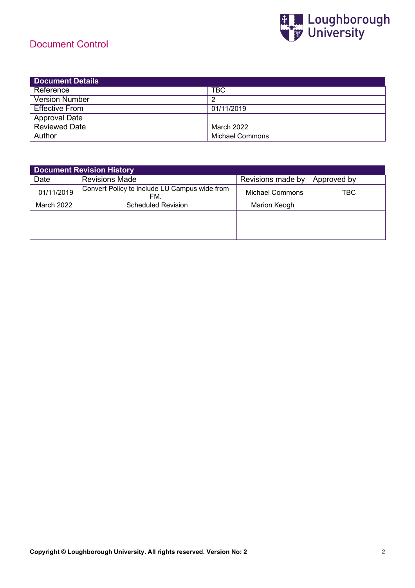### Document Control



| <b>Document Details</b> |                 |  |
|-------------------------|-----------------|--|
| Reference               | TBC             |  |
| <b>Version Number</b>   |                 |  |
| <b>Effective From</b>   | 01/11/2019      |  |
| <b>Approval Date</b>    |                 |  |
| <b>Reviewed Date</b>    | March 2022      |  |
| Author                  | Michael Commons |  |

| <b>Document Revision History</b> |                                                      |                     |             |
|----------------------------------|------------------------------------------------------|---------------------|-------------|
| Date                             | <b>Revisions Made</b>                                | Revisions made by   | Approved by |
| 01/11/2019                       | Convert Policy to include LU Campus wide from<br>FM. | Michael Commons     | TBC         |
| March 2022                       | <b>Scheduled Revision</b>                            | <b>Marion Keogh</b> |             |
|                                  |                                                      |                     |             |
|                                  |                                                      |                     |             |
|                                  |                                                      |                     |             |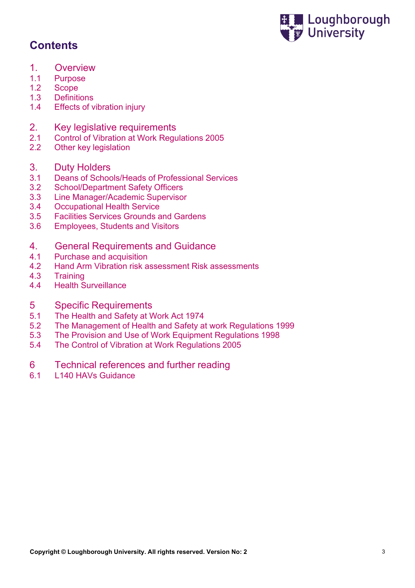

## **Contents**

- 1. Overview<br>1.1 Purpose
- **Purpose**
- 1.2 Scope<br>1.3 Definiti
- **Definitions**
- 1.4 Effects of vibration injury
- 2. Key legislative requirements
- 2.1 Control of Vibration at Work Regulations 2005
- 2.2 Other key legislation
- 3. Duty Holders<br>3.1 Deans of Schoo
- Deans of Schools/Heads of Professional Services
- 3.2 School/Department Safety Officers<br>3.3 Line Manager/Academic Supervisor
- 3.3 Line Manager/Academic Supervisor
- 3.4 Occupational Health Service<br>3.5 Facilities Services Grounds a
- 3.5 Facilities Services Grounds and Gardens
- 3.6 Employees, Students and Visitors

#### 4. General Requirements and Guidance

- 4.1 Purchase and acquisition
- 4.2 Hand Arm Vibration risk assessment Risk assessments<br>4.3 Training
- 4.3 Training
- **Health Surveillance**

# 5 Specific Requirements<br>5.1 The Health and Safety at V

- The Health and Safety at Work Act 1974
- 5.2 The Management of Health and Safety at work Regulations 1999
- 5.3 The Provision and Use of Work Equipment Regulations 1998
- 5.4 The Control of Vibration at Work Regulations 2005
- 6 Technical references and further reading<br>6.1 L140 HAVs Guidance
- L140 HAVs Guidance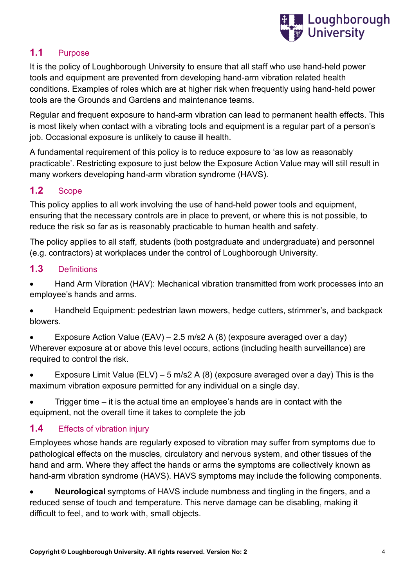

#### **1.1** Purpose

It is the policy of Loughborough University to ensure that all staff who use hand-held power tools and equipment are prevented from developing hand-arm vibration related health conditions. Examples of roles which are at higher risk when frequently using hand-held power tools are the Grounds and Gardens and maintenance teams.

Regular and frequent exposure to hand-arm vibration can lead to permanent health effects. This is most likely when contact with a vibrating tools and equipment is a regular part of a person's job. Occasional exposure is unlikely to cause ill health.

A fundamental requirement of this policy is to reduce exposure to 'as low as reasonably practicable'. Restricting exposure to just below the Exposure Action Value may will still result in many workers developing hand-arm vibration syndrome (HAVS).

### **1.2** Scope

This policy applies to all work involving the use of hand-held power tools and equipment, ensuring that the necessary controls are in place to prevent, or where this is not possible, to reduce the risk so far as is reasonably practicable to human health and safety.

The policy applies to all staff, students (both postgraduate and undergraduate) and personnel (e.g. contractors) at workplaces under the control of Loughborough University.

#### **1.3** Definitions

• Hand Arm Vibration (HAV): Mechanical vibration transmitted from work processes into an employee's hands and arms.

• Handheld Equipment: pedestrian lawn mowers, hedge cutters, strimmer's, and backpack blowers.

• Exposure Action Value (EAV) – 2.5 m/s2 A (8) (exposure averaged over a day) Wherever exposure at or above this level occurs, actions (including health surveillance) are required to control the risk.

- Exposure Limit Value (ELV) 5 m/s2 A (8) (exposure averaged over a day) This is the maximum vibration exposure permitted for any individual on a single day.
- Trigger time it is the actual time an employee's hands are in contact with the equipment, not the overall time it takes to complete the job

#### **1.4** Effects of vibration injury

Employees whose hands are regularly exposed to vibration may suffer from symptoms due to pathological effects on the muscles, circulatory and nervous system, and other tissues of the hand and arm. Where they affect the hands or arms the symptoms are collectively known as hand-arm vibration syndrome (HAVS). HAVS symptoms may include the following components.

• **Neurological** symptoms of HAVS include numbness and tingling in the fingers, and a reduced sense of touch and temperature. This nerve damage can be disabling, making it difficult to feel, and to work with, small objects.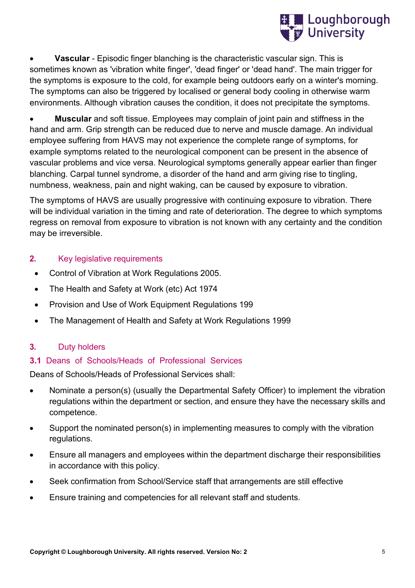

**Vascular** - Episodic finger blanching is the characteristic vascular sign. This is sometimes known as 'vibration white finger', 'dead finger' or 'dead hand'. The main trigger for the symptoms is exposure to the cold, for example being outdoors early on a winter's morning. The symptoms can also be triggered by localised or general body cooling in otherwise warm environments. Although vibration causes the condition, it does not precipitate the symptoms.

• **Muscular** and soft tissue. Employees may complain of joint pain and stiffness in the hand and arm. Grip strength can be reduced due to nerve and muscle damage. An individual employee suffering from HAVS may not experience the complete range of symptoms, for example symptoms related to the neurological component can be present in the absence of vascular problems and vice versa. Neurological symptoms generally appear earlier than finger blanching. Carpal tunnel syndrome, a disorder of the hand and arm giving rise to tingling, numbness, weakness, pain and night waking, can be caused by exposure to vibration.

The symptoms of HAVS are usually progressive with continuing exposure to vibration. There will be individual variation in the timing and rate of deterioration. The degree to which symptoms regress on removal from exposure to vibration is not known with any certainty and the condition may be irreversible.

#### **2.** Key legislative requirements

- Control of Vibration at Work Regulations 2005.
- The Health and Safety at Work (etc) Act 1974
- Provision and Use of Work Equipment Regulations 199
- The Management of Health and Safety at Work Regulations 1999

#### **3.** Duty holders

#### **3.1** Deans of Schools/Heads of Professional Services

Deans of Schools/Heads of Professional Services shall:

- Nominate a person(s) (usually the Departmental Safety Officer) to implement the vibration regulations within the department or section, and ensure they have the necessary skills and competence.
- Support the nominated person(s) in implementing measures to comply with the vibration regulations.
- Ensure all managers and employees within the department discharge their responsibilities in accordance with this policy.
- Seek confirmation from School/Service staff that arrangements are still effective
- Ensure training and competencies for all relevant staff and students.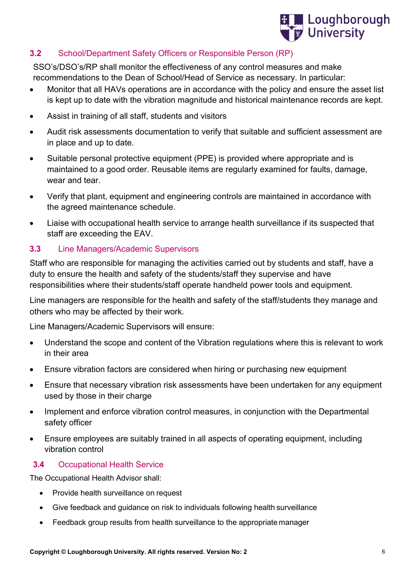

#### **3.2** School/Department Safety Officers or Responsible Person (RP)

SSO's/DSO's/RP shall monitor the effectiveness of any control measures and make recommendations to the Dean of School/Head of Service as necessary. In particular:

- Monitor that all HAVs operations are in accordance with the policy and ensure the asset list is kept up to date with the vibration magnitude and historical maintenance records are kept.
- Assist in training of all staff, students and visitors
- Audit risk assessments documentation to verify that suitable and sufficient assessment are in place and up to date.
- Suitable personal protective equipment (PPE) is provided where appropriate and is maintained to a good order. Reusable items are regularly examined for faults, damage, wear and tear.
- Verify that plant, equipment and engineering controls are maintained in accordance with the agreed maintenance schedule.
- Liaise with occupational health service to arrange health surveillance if its suspected that staff are exceeding the EAV.

#### **3.3** Line Managers/Academic Supervisors

Staff who are responsible for managing the activities carried out by students and staff, have a duty to ensure the health and safety of the students/staff they supervise and have responsibilities where their students/staff operate handheld power tools and equipment.

Line managers are responsible for the health and safety of the staff/students they manage and others who may be affected by their work.

Line Managers/Academic Supervisors will ensure:

- Understand the scope and content of the Vibration regulations where this is relevant to work in their area
- Ensure vibration factors are considered when hiring or purchasing new equipment
- Ensure that necessary vibration risk assessments have been undertaken for any equipment used by those in their charge
- Implement and enforce vibration control measures, in conjunction with the Departmental safety officer
- Ensure employees are suitably trained in all aspects of operating equipment, including vibration control

#### **3.4** Occupational Health Service

The Occupational Health Advisor shall:

- Provide health surveillance on request
- Give feedback and guidance on risk to individuals following health surveillance
- Feedback group results from health surveillance to the appropriate manager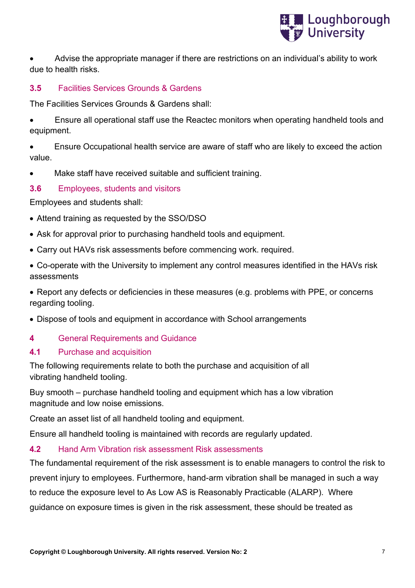

• Advise the appropriate manager if there are restrictions on an individual's ability to work due to health risks.

#### **3.5** Facilities Services Grounds & Gardens

The Facilities Services Grounds & Gardens shall:

• Ensure all operational staff use the Reactec monitors when operating handheld tools and equipment.

• Ensure Occupational health service are aware of staff who are likely to exceed the action value.

Make staff have received suitable and sufficient training.

#### **3.6** Employees, students and visitors

Employees and students shall:

- Attend training as requested by the SSO/DSO
- Ask for approval prior to purchasing handheld tools and equipment.
- Carry out HAVs risk assessments before commencing work. required.
- Co-operate with the University to implement any control measures identified in the HAVs risk assessments
- Report any defects or deficiencies in these measures (e.g. problems with PPE, or concerns regarding tooling.
- Dispose of tools and equipment in accordance with School arrangements

#### **4** General Requirements and Guidance

#### **4.1** Purchase and acquisition

The following requirements relate to both the purchase and acquisition of all vibrating handheld tooling.

Buy smooth – purchase handheld tooling and equipment which has a low vibration magnitude and low noise emissions.

Create an asset list of all handheld tooling and equipment.

Ensure all handheld tooling is maintained with records are regularly updated.

#### **4.2** Hand Arm Vibration risk assessment Risk assessments

The fundamental requirement of the risk assessment is to enable managers to control the risk to prevent injury to employees. Furthermore, hand-arm vibration shall be managed in such a way to reduce the exposure level to As Low AS is Reasonably Practicable (ALARP). Where guidance on exposure times is given in the risk assessment, these should be treated as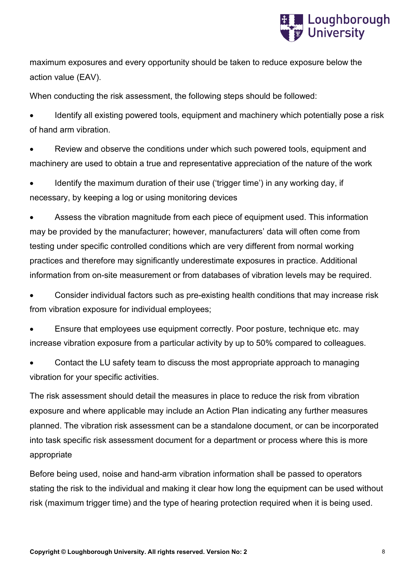

maximum exposures and every opportunity should be taken to reduce exposure below the action value (EAV).

When conducting the risk assessment, the following steps should be followed:

• Identify all existing powered tools, equipment and machinery which potentially pose a risk of hand arm vibration.

Review and observe the conditions under which such powered tools, equipment and machinery are used to obtain a true and representative appreciation of the nature of the work

• Identify the maximum duration of their use ('trigger time') in any working day, if necessary, by keeping a log or using monitoring devices

Assess the vibration magnitude from each piece of equipment used. This information may be provided by the manufacturer; however, manufacturers' data will often come from testing under specific controlled conditions which are very different from normal working practices and therefore may significantly underestimate exposures in practice. Additional information from on-site measurement or from databases of vibration levels may be required.

• Consider individual factors such as pre-existing health conditions that may increase risk from vibration exposure for individual employees;

• Ensure that employees use equipment correctly. Poor posture, technique etc. may increase vibration exposure from a particular activity by up to 50% compared to colleagues.

• Contact the LU safety team to discuss the most appropriate approach to managing vibration for your specific activities.

The risk assessment should detail the measures in place to reduce the risk from vibration exposure and where applicable may include an Action Plan indicating any further measures planned. The vibration risk assessment can be a standalone document, or can be incorporated into task specific risk assessment document for a department or process where this is more appropriate

Before being used, noise and hand-arm vibration information shall be passed to operators stating the risk to the individual and making it clear how long the equipment can be used without risk (maximum trigger time) and the type of hearing protection required when it is being used.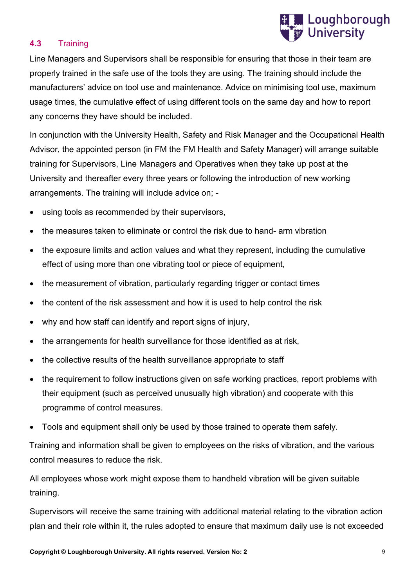

#### **4.3** Training

Line Managers and Supervisors shall be responsible for ensuring that those in their team are properly trained in the safe use of the tools they are using. The training should include the manufacturers' advice on tool use and maintenance. Advice on minimising tool use, maximum usage times, the cumulative effect of using different tools on the same day and how to report any concerns they have should be included.

In conjunction with the University Health, Safety and Risk Manager and the Occupational Health Advisor, the appointed person (in FM the FM Health and Safety Manager) will arrange suitable training for Supervisors, Line Managers and Operatives when they take up post at the University and thereafter every three years or following the introduction of new working arrangements. The training will include advice on; -

- using tools as recommended by their supervisors,
- the measures taken to eliminate or control the risk due to hand- arm vibration
- the exposure limits and action values and what they represent, including the cumulative effect of using more than one vibrating tool or piece of equipment,
- the measurement of vibration, particularly regarding trigger or contact times
- the content of the risk assessment and how it is used to help control the risk
- why and how staff can identify and report signs of injury,
- the arrangements for health surveillance for those identified as at risk,
- the collective results of the health surveillance appropriate to staff
- the requirement to follow instructions given on safe working practices, report problems with their equipment (such as perceived unusually high vibration) and cooperate with this programme of control measures.
- Tools and equipment shall only be used by those trained to operate them safely.

Training and information shall be given to employees on the risks of vibration, and the various control measures to reduce the risk.

All employees whose work might expose them to handheld vibration will be given suitable training.

Supervisors will receive the same training with additional material relating to the vibration action plan and their role within it, the rules adopted to ensure that maximum daily use is not exceeded